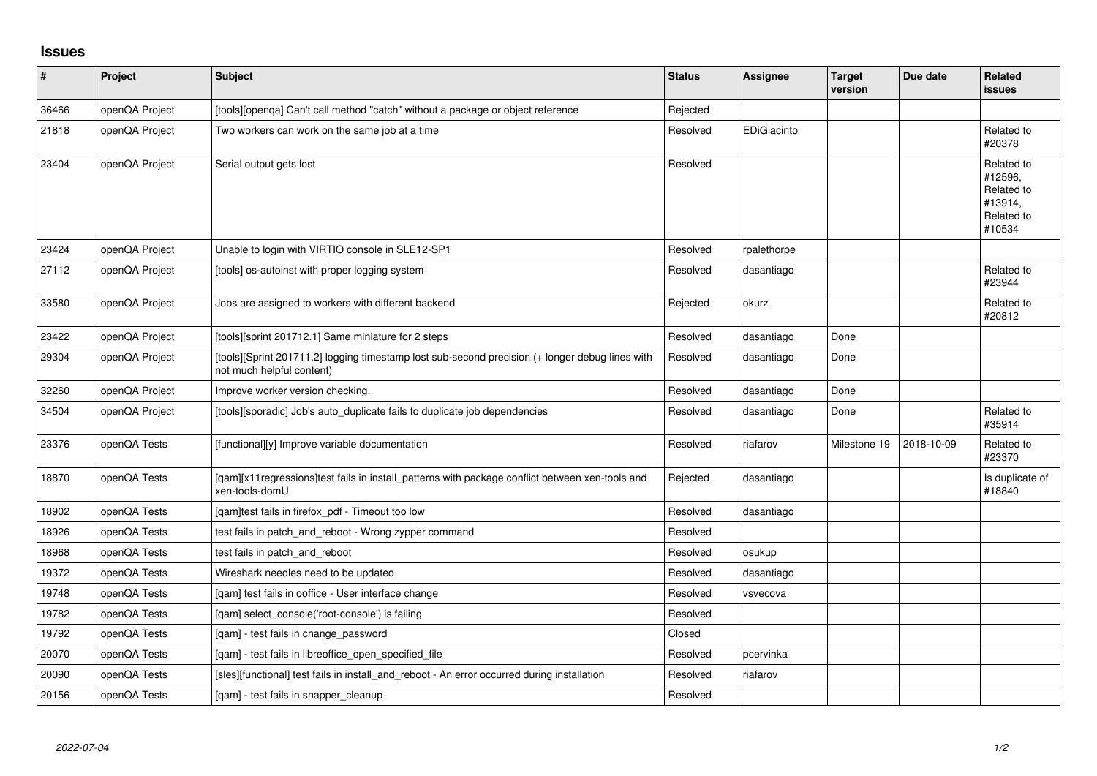## **Issues**

| $\sharp$ | Project        | Subject                                                                                                                      | <b>Status</b> | Assignee    | <b>Target</b><br>version | Due date   | Related<br>issues                                                      |
|----------|----------------|------------------------------------------------------------------------------------------------------------------------------|---------------|-------------|--------------------------|------------|------------------------------------------------------------------------|
| 36466    | openQA Project | [tools][openga] Can't call method "catch" without a package or object reference                                              | Rejected      |             |                          |            |                                                                        |
| 21818    | openQA Project | Two workers can work on the same job at a time                                                                               | Resolved      | EDiGiacinto |                          |            | Related to<br>#20378                                                   |
| 23404    | openQA Project | Serial output gets lost                                                                                                      | Resolved      |             |                          |            | Related to<br>#12596,<br>Related to<br>#13914,<br>Related to<br>#10534 |
| 23424    | openQA Project | Unable to login with VIRTIO console in SLE12-SP1                                                                             | Resolved      | rpalethorpe |                          |            |                                                                        |
| 27112    | openQA Project | [tools] os-autoinst with proper logging system                                                                               | Resolved      | dasantiago  |                          |            | Related to<br>#23944                                                   |
| 33580    | openQA Project | Jobs are assigned to workers with different backend                                                                          | Rejected      | okurz       |                          |            | Related to<br>#20812                                                   |
| 23422    | openQA Project | [tools][sprint 201712.1] Same miniature for 2 steps                                                                          | Resolved      | dasantiago  | Done                     |            |                                                                        |
| 29304    | openQA Project | [tools][Sprint 201711.2] logging timestamp lost sub-second precision (+ longer debug lines with<br>not much helpful content) | Resolved      | dasantiago  | Done                     |            |                                                                        |
| 32260    | openQA Project | Improve worker version checking.                                                                                             | Resolved      | dasantiago  | Done                     |            |                                                                        |
| 34504    | openQA Project | [tools][sporadic] Job's auto_duplicate fails to duplicate job dependencies                                                   | Resolved      | dasantiago  | Done                     |            | Related to<br>#35914                                                   |
| 23376    | openQA Tests   | [functional][y] Improve variable documentation                                                                               | Resolved      | riafarov    | Milestone 19             | 2018-10-09 | Related to<br>#23370                                                   |
| 18870    | openQA Tests   | [qam][x11regressions]test fails in install_patterns with package conflict between xen-tools and<br>xen-tools-domU            | Rejected      | dasantiago  |                          |            | Is duplicate of<br>#18840                                              |
| 18902    | openQA Tests   | [qam]test fails in firefox_pdf - Timeout too low                                                                             | Resolved      | dasantiago  |                          |            |                                                                        |
| 18926    | openQA Tests   | test fails in patch_and_reboot - Wrong zypper command                                                                        | Resolved      |             |                          |            |                                                                        |
| 18968    | openQA Tests   | test fails in patch_and_reboot                                                                                               | Resolved      | osukup      |                          |            |                                                                        |
| 19372    | openQA Tests   | Wireshark needles need to be updated                                                                                         | Resolved      | dasantiago  |                          |            |                                                                        |
| 19748    | openQA Tests   | [qam] test fails in ooffice - User interface change                                                                          | Resolved      | vsvecova    |                          |            |                                                                        |
| 19782    | openQA Tests   | [qam] select_console('root-console') is failing                                                                              | Resolved      |             |                          |            |                                                                        |
| 19792    | openQA Tests   | [qam] - test fails in change_password                                                                                        | Closed        |             |                          |            |                                                                        |
| 20070    | openQA Tests   | [gam] - test fails in libreoffice open specified file                                                                        | Resolved      | pcervinka   |                          |            |                                                                        |
| 20090    | openQA Tests   | [sles][functional] test fails in install_and_reboot - An error occurred during installation                                  | Resolved      | riafarov    |                          |            |                                                                        |
| 20156    | openQA Tests   | [qam] - test fails in snapper_cleanup                                                                                        | Resolved      |             |                          |            |                                                                        |